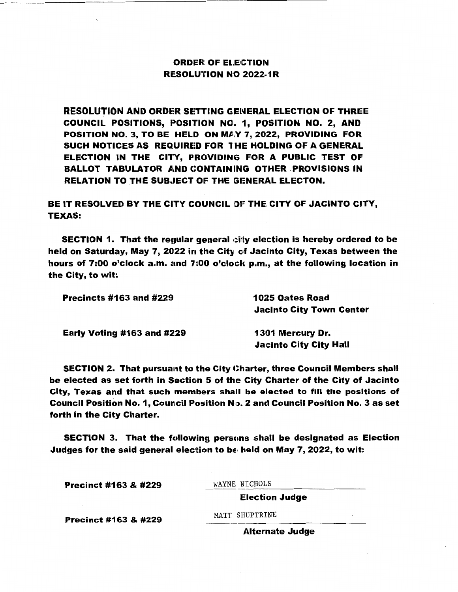## **ORDER OF ELECTION RESOLUTION NO 2022-1R**

**RESOLUTION AND ORDER SETTING GENERAL ELECTION OF THREE** COUNCIL POSITIONS, POSITION NO. 1, POSITION NO. 2, AND **POSITION NO. 3, TO BE HELD ON MAY 7, 2022, PROVIDING FOR** SUCH NOTICES AS REQUIRED FOR THE HOLDING OF A GENERAL ELECTION IN THE CITY, PROVIDING FOR A PUBLIC TEST OF BALLOT TABULATOR AND CONTAINING OTHER PROVISIONS IN RELATION TO THE SUBJECT OF THE GENERAL ELECTON.

BE IT **RESOLVED BY** THE CITY COUNCIL 01= THE CITY OF JACINTO CITY, TEXAS:

SECTION 1. That the regular general city election is hereby ordered to be held on Saturday, May 7, 2022 in the City of Jacinto City, Texas between the hours of 7:00 o'clock a.m. and 7:00 o'clock p.m., at the following location in the City, to wit:

| <b>Precincts #163 and #229</b>    | 1025 Oates Road                 |
|-----------------------------------|---------------------------------|
|                                   | <b>Jacinto City Town Center</b> |
| <b>Early Voting #163 and #229</b> | 1301 Mercury Dr.                |
|                                   | <b>Jacinto City City Hall</b>   |

SECTION 2. That pursuant to the City Charter, three Council Members shall be elected as set forth in Section 5 of the City Charter of the City of Jacinto City, Texas and that such members shall be elected to fill the positions of Council Position No. 1, Council Position N<sub>1</sub>, 2 and Council Position No. 3 as set forth in the City Charter.

SECTION 3. That the following persons shall be designated as Election Judges for the said general election to be held on May 7, 2022, to wit:

Precinct #163 & #229  $\frac{\text{WAYNE} \text{NICHOLS}}{\text{Electron} \text{-} \text{Ludge}}$ 

**Election Judge** 

Precinct #163 & #229 MATT SHUPTRINE

**Alternate Judge**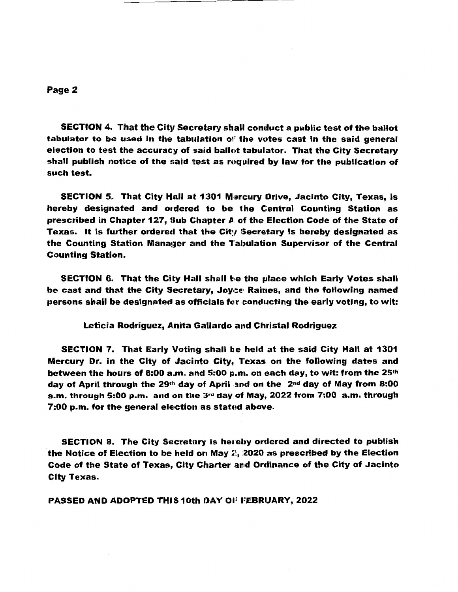## Page 2

SECTION 4. That the City Secretary shall conduct a public test of the ballot tabulator to be used in the tabulation of the votes cast in the said general election to test the accuracy of said ballot tabulator. That the City Secretary shall publish notice of the said test as required by law for the publication of such test.

SECTION 5. That City Hall at 1301 Mercury Drive, Jacinto City, Texas, is hereby designated and ordered to be the Central Counting Station as prescribed in Chapter 127, Sub Chapter A of the Election Code of the State of Texas. It is further ordered that the City Secretary is hereby designated as the Counting Station Manager and the Tabulation Supervisor of the Central Counting Station.

SECTION 6. That the City Hall shall be the place which Early Votes shall be cast and that the City Secretary, Joyce Raines, and the following named persons shall be designated as officials for conducting the early voting, to wit:

Leticia Rodriguez, Anita Gallardo and Christal Rodriguez

SECTION 7. That Early Voting shall be held at the said City Hall at 1301 Mercury Dr. in the City of Jacinto City, Texas on the following dates and between the hours of 8:00 a.m. and 5:00 p.m. on each day, to wit: from the  $25<sup>th</sup>$ day of April through the 29th day of April and on the 2<sup>nd</sup> day of May from 8:00 a.m. through 5:00 p.m. and on the  $3^{rd}$  day of May, 2022 from 7:00 a.m. through  $7:00$  p.m. for the general election as stated above.

SECTION 8. The City Secretary is hereby ordered and directed to publish the Notice of Election to be held on May  $2$ ,  $2020$  as prescribed by the Election Code of the State of Texas, City Charter and Ordinance of the City of Jacinto City Texas.

**PASSED AND ADOPTED** THIS 10th llAY 01: **t=EBRIJARY,** 2022